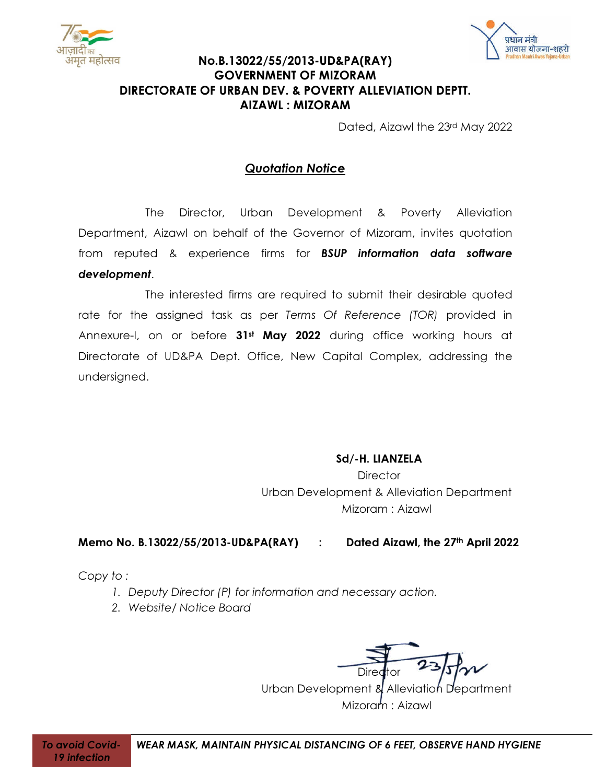



# No.B.13022/55/2013-UD&PA(RAY) GOVERNMENT OF MIZORAM DIRECTORATE OF URBAN DEV. & POVERTY ALLEVIATION DEPTT. AIZAWL : MIZORAM

Dated, Aizawl the 23rd May 2022

# Quotation Notice

The Director, Urban Development & Poverty Alleviation Department, Aizawl on behalf of the Governor of Mizoram, invites quotation from reputed & experience firms for BSUP information data software development.

The interested firms are required to submit their desirable quoted rate for the assigned task as per Terms Of Reference (TOR) provided in Annexure-I, on or before 31<sup>st</sup> May 2022 during office working hours at Directorate of UD&PA Dept. Office, New Capital Complex, addressing the undersigned.

## Sd/-H. LIANZELA

**Director** Urban Development & Alleviation Department Mizoram : Aizawl

## Memo No. B.13022/55/2013-UD&PA(RAY) : Dated Aizawl, the 27th April 2022

Copy to :

- 1. Deputy Director (P) for information and necessary action.
- 2. Website/ Notice Board

Diredtor

Urban Development & Alleviation Department Mizoram : Aizawl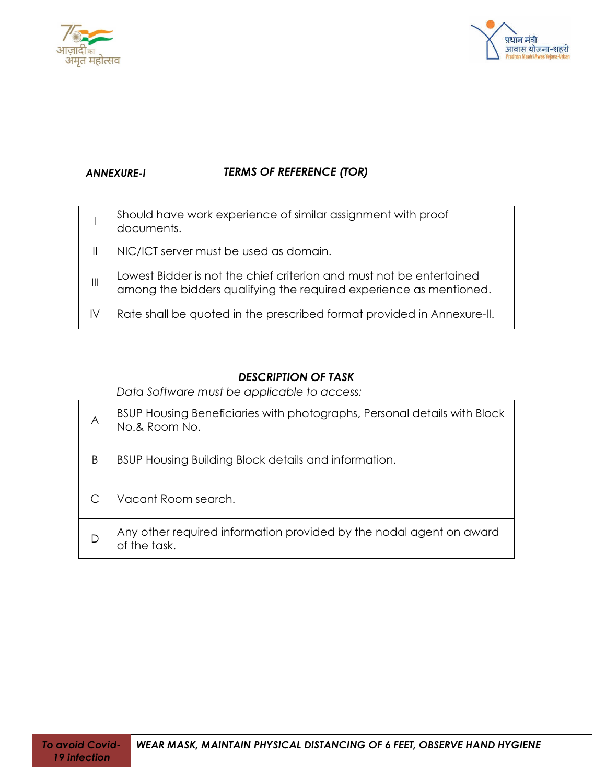



# ANNEXURE-I TERMS OF REFERENCE (TOR)

|                | Should have work experience of similar assignment with proof<br>documents.                                                                 |
|----------------|--------------------------------------------------------------------------------------------------------------------------------------------|
| -II.           | NIC/ICT server must be used as domain.                                                                                                     |
| $\mathbf{III}$ | Lowest Bidder is not the chief criterion and must not be entertained<br>among the bidders qualifying the required experience as mentioned. |
| IV             | Rate shall be quoted in the prescribed format provided in Annexure-II.                                                                     |

## DESCRIPTION OF TASK

Data Software must be applicable to access:

| A | BSUP Housing Beneficiaries with photographs, Personal details with Block<br>No.& Room No. |  |
|---|-------------------------------------------------------------------------------------------|--|
| B | BSUP Housing Building Block details and information.                                      |  |
|   | Vacant Room search.                                                                       |  |
| D | Any other required information provided by the nodal agent on award<br>of the task.       |  |